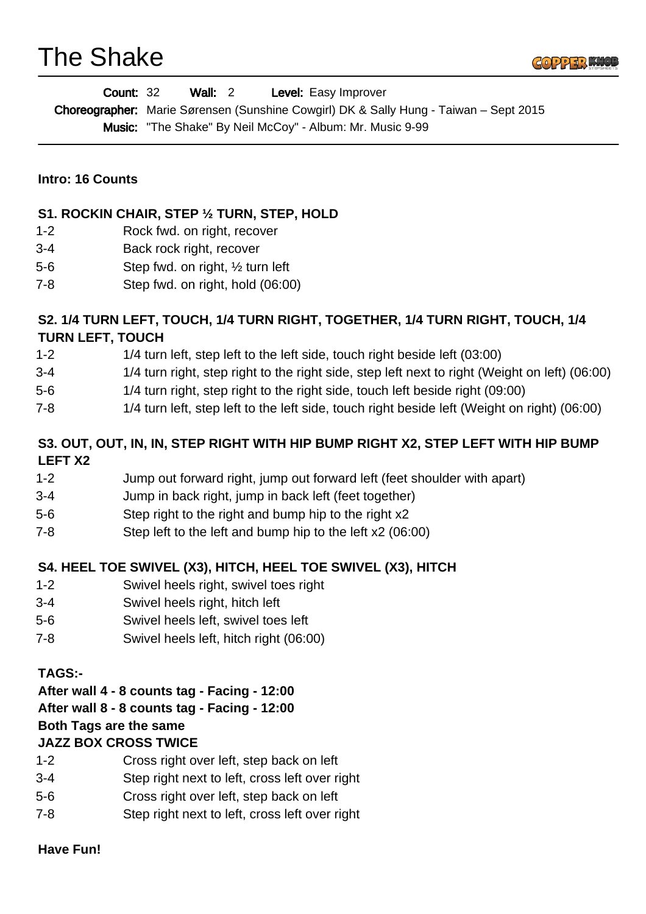# The Shake



| <b>Count: 32</b> | Wall: 2 | <b>Level:</b> Easy Improver                                                                  |
|------------------|---------|----------------------------------------------------------------------------------------------|
|                  |         | <b>Choreographer:</b> Marie Sørensen (Sunshine Cowgirl) DK & Sally Hung - Taiwan – Sept 2015 |
|                  |         | <b>Music:</b> "The Shake" By Neil McCoy" - Album: Mr. Music 9-99                             |

#### **Intro: 16 Counts**

#### **S1. ROCKIN CHAIR, STEP ½ TURN, STEP, HOLD**

- 1-2 Rock fwd. on right, recover
- 3-4 Back rock right, recover
- 5-6 Step fwd. on right, ½ turn left
- 7-8 Step fwd. on right, hold (06:00)

### **S2. 1/4 TURN LEFT, TOUCH, 1/4 TURN RIGHT, TOGETHER, 1/4 TURN RIGHT, TOUCH, 1/4 TURN LEFT, TOUCH**

- 1-2 1/4 turn left, step left to the left side, touch right beside left (03:00)
- 3-4 1/4 turn right, step right to the right side, step left next to right (Weight on left) (06:00)
- 5-6 1/4 turn right, step right to the right side, touch left beside right (09:00)
- 7-8 1/4 turn left, step left to the left side, touch right beside left (Weight on right) (06:00)

#### **S3. OUT, OUT, IN, IN, STEP RIGHT WITH HIP BUMP RIGHT X2, STEP LEFT WITH HIP BUMP LEFT X2**

- 1-2 Jump out forward right, jump out forward left (feet shoulder with apart)
- 3-4 Jump in back right, jump in back left (feet together)
- 5-6 Step right to the right and bump hip to the right x2
- 7-8 Step left to the left and bump hip to the left x2 (06:00)

#### **S4. HEEL TOE SWIVEL (X3), HITCH, HEEL TOE SWIVEL (X3), HITCH**

- 1-2 Swivel heels right, swivel toes right
- 3-4 Swivel heels right, hitch left
- 5-6 Swivel heels left, swivel toes left
- 7-8 Swivel heels left, hitch right (06:00)

#### **TAGS:-**

#### **After wall 4 - 8 counts tag - Facing - 12:00**

#### **After wall 8 - 8 counts tag - Facing - 12:00**

## **Both Tags are the same**

#### **JAZZ BOX CROSS TWICE**

- 1-2 Cross right over left, step back on left
- 3-4 Step right next to left, cross left over right
- 5-6 Cross right over left, step back on left
- 7-8 Step right next to left, cross left over right